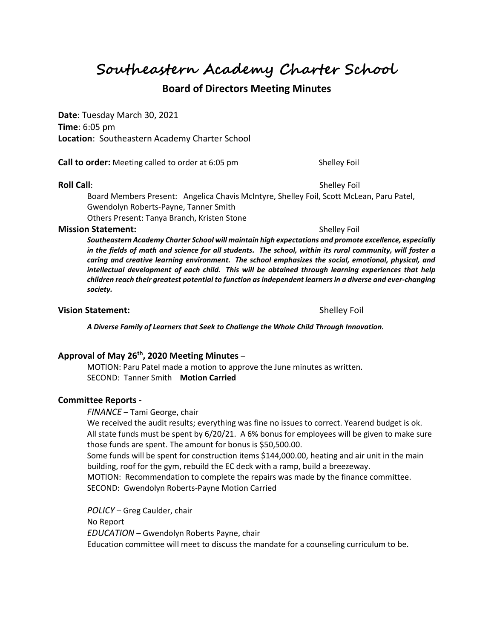**Southeastern Academy Charter School**

## **Board of Directors Meeting Minutes**

**Date**: Tuesday March 30, 2021 **Time**: 6:05 pm **Location**: Southeastern Academy Charter School

**Call to order:** Meeting called to order at 6:05 pm Shelley Foil

#### **Roll Call**: Shelley Foil **Roll Call**: Shelley Foil **Shelley Foil**

Board Members Present: Angelica Chavis McIntyre, Shelley Foil, Scott McLean, Paru Patel, Gwendolyn Roberts-Payne, Tanner Smith Others Present: Tanya Branch, Kristen Stone

#### **Mission Statement:**  $\qquad \qquad$  Shelley Foil

*Southeastern Academy Charter School will maintain high expectations and promote excellence, especially in the fields of math and science for all students. The school, within its rural community, will foster a caring and creative learning environment. The school emphasizes the social, emotional, physical, and intellectual development of each child. This will be obtained through learning experiences that help children reach their greatest potential to function as independent learners in a diverse and ever-changing society.*

#### **Vision Statement:**  $\qquad \qquad$  Shelley Foil

*A Diverse Family of Learners that Seek to Challenge the Whole Child Through Innovation.*

## **Approval of May 26th , 2020 Meeting Minutes** –

MOTION: Paru Patel made a motion to approve the June minutes as written. SECOND: Tanner Smith **Motion Carried**

#### **Committee Reports -**

*FINANCE* – Tami George, chair

We received the audit results; everything was fine no issues to correct. Yearend budget is ok. All state funds must be spent by 6/20/21. A 6% bonus for employees will be given to make sure those funds are spent. The amount for bonus is \$50,500.00.

Some funds will be spent for construction items \$144,000.00, heating and air unit in the main building, roof for the gym, rebuild the EC deck with a ramp, build a breezeway.

MOTION: Recommendation to complete the repairs was made by the finance committee. SECOND: Gwendolyn Roberts-Payne Motion Carried

*POLICY* – Greg Caulder, chair No Report *EDUCATION* – Gwendolyn Roberts Payne, chair Education committee will meet to discuss the mandate for a counseling curriculum to be.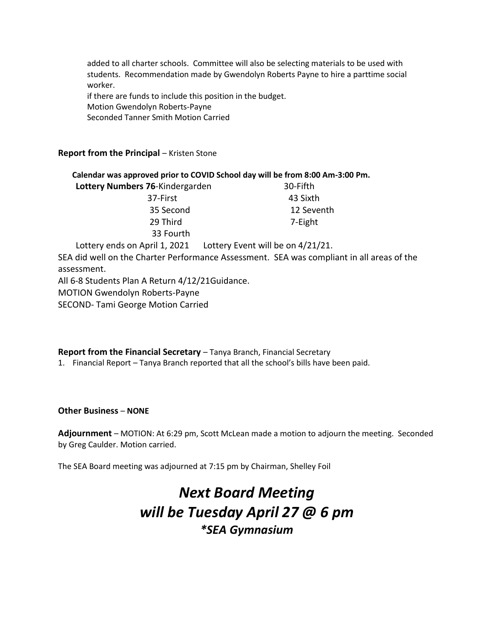added to all charter schools. Committee will also be selecting materials to be used with students. Recommendation made by Gwendolyn Roberts Payne to hire a parttime social worker.

if there are funds to include this position in the budget. Motion Gwendolyn Roberts-Payne Seconded Tanner Smith Motion Carried

## **Report from the Principal – Kristen Stone**

| Calendar was approved prior to COVID School day will be from 8:00 Am-3:00 Pm. |          |
|-------------------------------------------------------------------------------|----------|
| Lottery Numbers 76-Kindergarden                                               | 30-Fifth |
| 37-First                                                                      | 43 Sixth |

 35 Second 12 Seventh 29 Third 7-Eight 33 Fourth

Lottery ends on April 1, 2021 Lottery Event will be on 4/21/21.

SEA did well on the Charter Performance Assessment. SEA was compliant in all areas of the assessment.

All 6-8 Students Plan A Return 4/12/21Guidance.

MOTION Gwendolyn Roberts-Payne

SECOND- Tami George Motion Carried

### **Report from the Financial Secretary** – Tanya Branch, Financial Secretary

1. Financial Report – Tanya Branch reported that all the school's bills have been paid.

### **Other Business** – **NONE**

**Adjournment** – MOTION: At 6:29 pm, Scott McLean made a motion to adjourn the meeting. Seconded by Greg Caulder. Motion carried.

The SEA Board meeting was adjourned at 7:15 pm by Chairman, Shelley Foil

# *Next Board Meeting will be Tuesday April 27 @ 6 pm \*SEA Gymnasium*